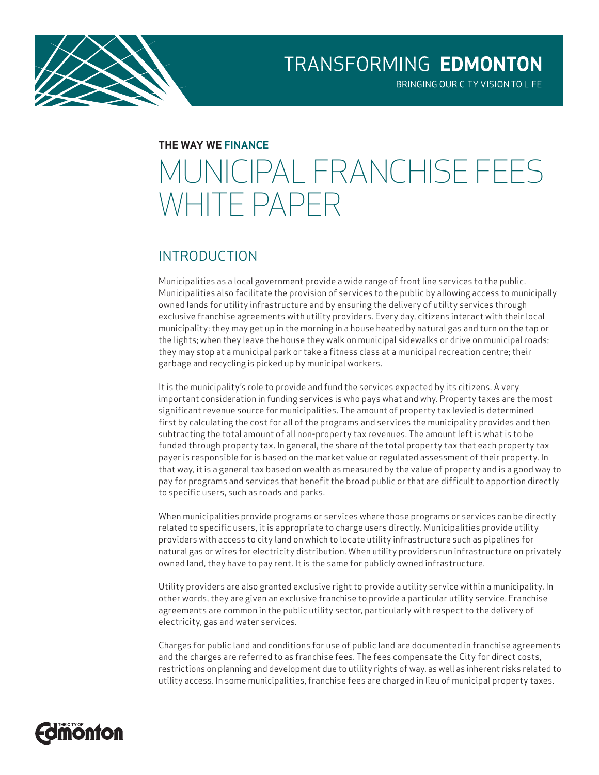

TRANSFORMING | EDMONTON

BRINGING OUR CITY VISION TO LIFE

#### **THE WAY WE FINANCE**

# MUNICIPAL FRANCHISE FEES WHITE PAPER

# INTRODUCTION

Municipalities as a local government provide a wide range of front line services to the public. Municipalities also facilitate the provision of services to the public by allowing access to municipally owned lands for utility infrastructure and by ensuring the delivery of utility services through exclusive franchise agreements with utility providers. Every day, citizens interact with their local municipality: they may get up in the morning in a house heated by natural gas and turn on the tap or the lights; when they leave the house they walk on municipal sidewalks or drive on municipal roads; they may stop at a municipal park or take a fitness class at a municipal recreation centre; their garbage and recycling is picked up by municipal workers.

It is the municipality's role to provide and fund the services expected by its citizens. A very important consideration in funding services is who pays what and why. Property taxes are the most significant revenue source for municipalities. The amount of property tax levied is determined first by calculating the cost for all of the programs and services the municipality provides and then subtracting the total amount of all non-property tax revenues. The amount left is what is to be funded through property tax. In general, the share of the total property tax that each property tax payer is responsible for is based on the market value or regulated assessment of their property. In that way, it is a general tax based on wealth as measured by the value of property and is a good way to pay for programs and services that benefit the broad public or that are difficult to apportion directly to specific users, such as roads and parks.

When municipalities provide programs or services where those programs or services can be directly related to specific users, it is appropriate to charge users directly. Municipalities provide utility providers with access to city land on which to locate utility infrastructure such as pipelines for natural gas or wires for electricity distribution. When utility providers run infrastructure on privately owned land, they have to pay rent. It is the same for publicly owned infrastructure.

Utility providers are also granted exclusive right to provide a utility service within a municipality. In other words, they are given an exclusive franchise to provide a particular utility service. Franchise agreements are common in the public utility sector, particularly with respect to the delivery of electricity, gas and water services.

Charges for public land and conditions for use of public land are documented in franchise agreements and the charges are referred to as franchise fees. The fees compensate the City for direct costs, restrictions on planning and development due to utility rights of way, as well as inherent risks related to utility access. In some municipalities, franchise fees are charged in lieu of municipal property taxes.

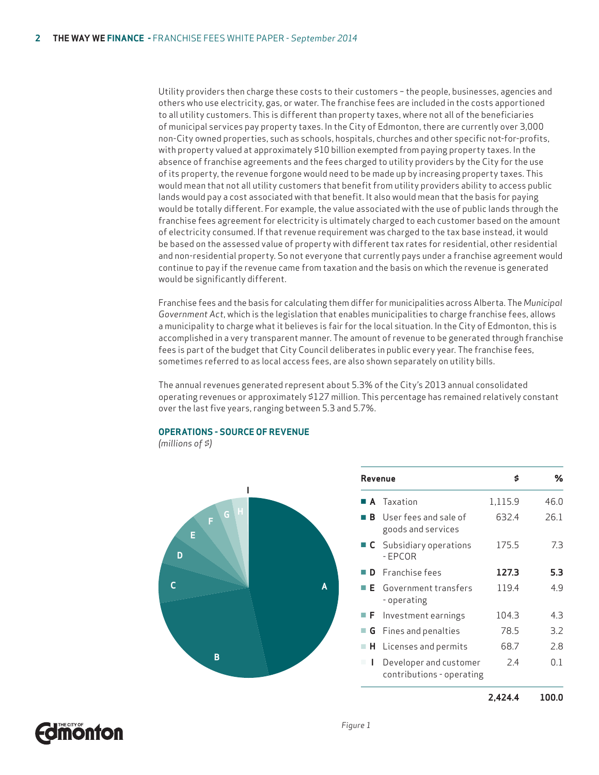Utility providers then charge these costs to their customers – the people, businesses, agencies and others who use electricity, gas, or water. The franchise fees are included in the costs apportioned to all utility customers. This is different than property taxes, where not all of the beneficiaries of municipal services pay property taxes. In the City of Edmonton, there are currently over 3,000 non-City owned properties, such as schools, hospitals, churches and other specific not-for-profits, with property valued at approximately \$10 billion exempted from paying property taxes. In the absence of franchise agreements and the fees charged to utility providers by the City for the use of its property, the revenue forgone would need to be made up by increasing property taxes. This would mean that not all utility customers that benefit from utility providers ability to access public lands would pay a cost associated with that benefit. It also would mean that the basis for paying would be totally different. For example, the value associated with the use of public lands through the franchise fees agreement for electricity is ultimately charged to each customer based on the amount of electricity consumed. If that revenue requirement was charged to the tax base instead, it would be based on the assessed value of property with different tax rates for residential, other residential and non-residential property. So not everyone that currently pays under a franchise agreement would continue to pay if the revenue came from taxation and the basis on which the revenue is generated would be significantly different.

Franchise fees and the basis for calculating them differ for municipalities across Alberta. The *Municipal Government Act*, which is the legislation that enables municipalities to charge franchise fees, allows a municipality to charge what it believes is fair for the local situation. In the City of Edmonton, this is accomplished in a very transparent manner. The amount of revenue to be generated through franchise fees is part of the budget that City Council deliberates in public every year. The franchise fees, sometimes referred to as local access fees, are also shown separately on utility bills.

The annual revenues generated represent about 5.3% of the City's 2013 annual consolidated operating revenues or approximately \$127 million. This percentage has remained relatively constant over the last five years, ranging between 5.3 and 5.7%.



|  | <b>OPERATIONS - SOURCE OF REVENUE</b> |
|--|---------------------------------------|
|--|---------------------------------------|

*(millions of \$)*

| Revenue |                                                     | Ś       | ℅    |
|---------|-----------------------------------------------------|---------|------|
|         | <b>A</b> Taxation                                   | 1,115.9 | 46.0 |
| B.      | User fees and sale of<br>goods and services         | 632.4   | 26.1 |
|         | $\blacksquare$ C Subsidiary operations<br>- FPCOR   | 175.5   | 7.3  |
| D.      | <b>Franchise fees</b>                               | 127.3   | 5.3  |
|         | <b>E</b> Government transfers<br>- operating        | 119.4   | 4.9  |
| . F .   | Investment earnings                                 | 104.3   | 4.3  |
|         | <b>G</b> Fines and penalties                        | 78.5    | 3.2  |
|         | <b>H</b> Licenses and permits                       | 68.7    | 2.8  |
| L       | Developer and customer<br>contributions - operating | 2.4     | 0.1  |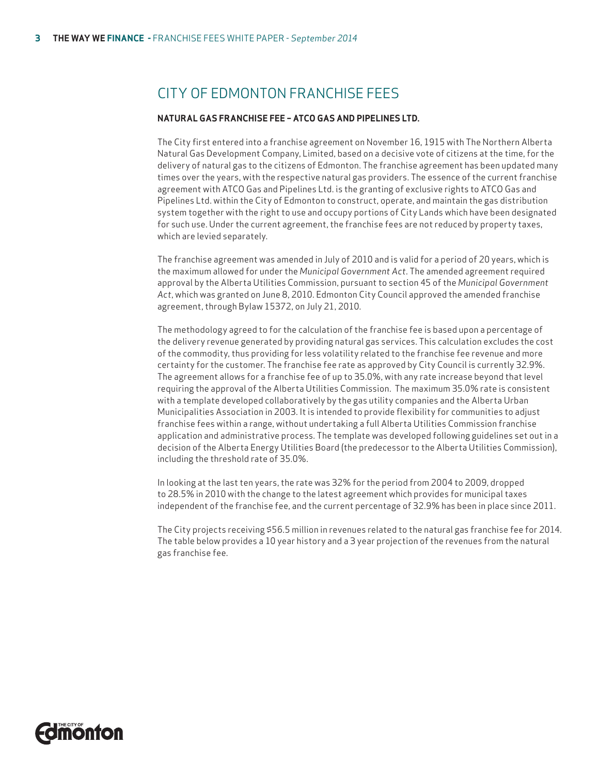# CITY OF EDMONTON FRANCHISE FEES

#### **NATURAL GAS FRANCHISE FEE – ATCO GAS AND PIPELINES LTD.**

The City first entered into a franchise agreement on November 16, 1915 with The Northern Alberta Natural Gas Development Company, Limited, based on a decisive vote of citizens at the time, for the delivery of natural gas to the citizens of Edmonton. The franchise agreement has been updated many times over the years, with the respective natural gas providers. The essence of the current franchise agreement with ATCO Gas and Pipelines Ltd. is the granting of exclusive rights to ATCO Gas and Pipelines Ltd. within the City of Edmonton to construct, operate, and maintain the gas distribution system together with the right to use and occupy portions of City Lands which have been designated for such use. Under the current agreement, the franchise fees are not reduced by property taxes, which are levied separately.

The franchise agreement was amended in July of 2010 and is valid for a period of 20 years, which is the maximum allowed for under the *Municipal Government Act*. The amended agreement required approval by the Alberta Utilities Commission, pursuant to section 45 of the *Municipal Government Act*, which was granted on June 8, 2010. Edmonton City Council approved the amended franchise agreement, through Bylaw 15372, on July 21, 2010.

The methodology agreed to for the calculation of the franchise fee is based upon a percentage of the delivery revenue generated by providing natural gas services. This calculation excludes the cost of the commodity, thus providing for less volatility related to the franchise fee revenue and more certainty for the customer. The franchise fee rate as approved by City Council is currently 32.9%. The agreement allows for a franchise fee of up to 35.0%, with any rate increase beyond that level requiring the approval of the Alberta Utilities Commission. The maximum 35.0% rate is consistent with a template developed collaboratively by the gas utility companies and the Alberta Urban Municipalities Association in 2003. It is intended to provide flexibility for communities to adjust franchise fees within a range, without undertaking a full Alberta Utilities Commission franchise application and administrative process. The template was developed following guidelines set out in a decision of the Alberta Energy Utilities Board (the predecessor to the Alberta Utilities Commission), including the threshold rate of 35.0%.

In looking at the last ten years, the rate was 32% for the period from 2004 to 2009, dropped to 28.5% in 2010 with the change to the latest agreement which provides for municipal taxes independent of the franchise fee, and the current percentage of 32.9% has been in place since 2011.

The City projects receiving \$56.5 million in revenues related to the natural gas franchise fee for 2014. The table below provides a 10 year history and a 3 year projection of the revenues from the natural gas franchise fee.

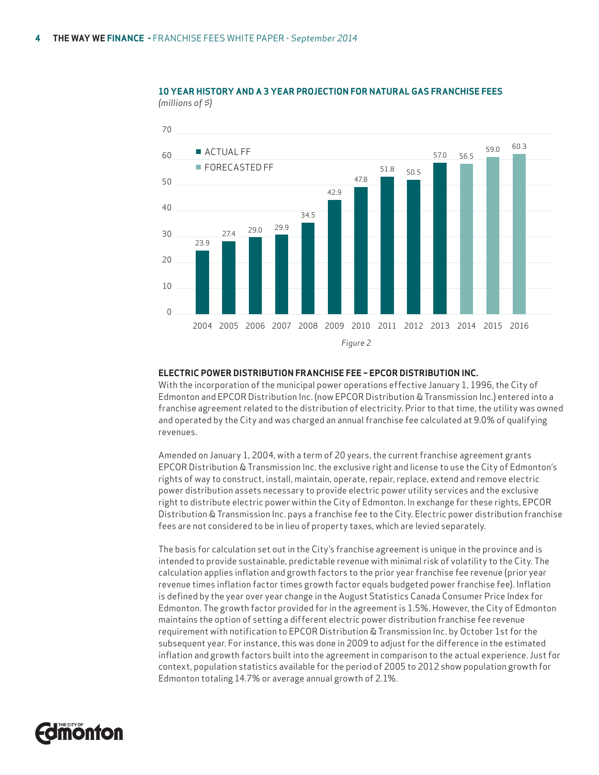

#### **10 YEAR HISTORY AND A 3 YEAR PROJECTION FOR NATURAL GAS FRANCHISE FEES** *(millions of \$)*

#### **ELECTRIC POWER DISTRIBUTION FRANCHISE FEE – EPCOR DISTRIBUTION INC.**

With the incorporation of the municipal power operations effective January 1, 1996, the City of Edmonton and EPCOR Distribution Inc. (now EPCOR Distribution & Transmission Inc.) entered into a franchise agreement related to the distribution of electricity. Prior to that time, the utility was owned and operated by the City and was charged an annual franchise fee calculated at 9.0% of qualifying revenues.

Amended on January 1, 2004, with a term of 20 years, the current franchise agreement grants EPCOR Distribution & Transmission Inc. the exclusive right and license to use the City of Edmonton's rights of way to construct, install, maintain, operate, repair, replace, extend and remove electric power distribution assets necessary to provide electric power utility services and the exclusive right to distribute electric power within the City of Edmonton. In exchange for these rights, EPCOR Distribution & Transmission Inc. pays a franchise fee to the City. Electric power distribution franchise fees are not considered to be in lieu of property taxes, which are levied separately.

The basis for calculation set out in the City's franchise agreement is unique in the province and is intended to provide sustainable, predictable revenue with minimal risk of volatility to the City. The calculation applies inflation and growth factors to the prior year franchise fee revenue (prior year revenue times inflation factor times growth factor equals budgeted power franchise fee). Inflation is defined by the year over year change in the August Statistics Canada Consumer Price Index for Edmonton. The growth factor provided for in the agreement is 1.5%. However, the City of Edmonton maintains the option of setting a different electric power distribution franchise fee revenue requirement with notification to EPCOR Distribution & Transmission Inc. by October 1st for the subsequent year. For instance, this was done in 2009 to adjust for the difference in the estimated inflation and growth factors built into the agreement in comparison to the actual experience. Just for context, population statistics available for the period of 2005 to 2012 show population growth for Edmonton totaling 14.7% or average annual growth of 2.1%.

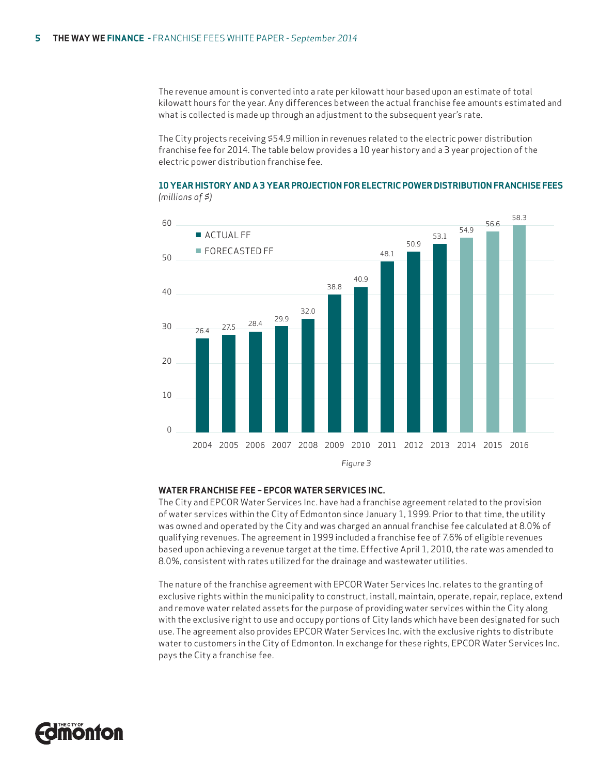The revenue amount is converted into a rate per kilowatt hour based upon an estimate of total kilowatt hours for the year. Any differences between the actual franchise fee amounts estimated and what is collected is made up through an adjustment to the subsequent year's rate.

The City projects receiving \$54.9 million in revenues related to the electric power distribution franchise fee for 2014. The table below provides a 10 year history and a 3 year projection of the electric power distribution franchise fee.

#### **10 YEAR HISTORY AND A 3 YEAR PROJECTION FOR ELECTRIC POWER DISTRIBUTION FRANCHISE FEES** *(millions of \$)*



#### **WATER FRANCHISE FEE – EPCOR WATER SERVICES INC.**

The City and EPCOR Water Services Inc. have had a franchise agreement related to the provision of water services within the City of Edmonton since January 1, 1999. Prior to that time, the utility was owned and operated by the City and was charged an annual franchise fee calculated at 8.0% of qualifying revenues. The agreement in 1999 included a franchise fee of 7.6% of eligible revenues based upon achieving a revenue target at the time. Effective April 1, 2010, the rate was amended to 8.0%, consistent with rates utilized for the drainage and wastewater utilities.

The nature of the franchise agreement with EPCOR Water Services Inc. relates to the granting of exclusive rights within the municipality to construct, install, maintain, operate, repair, replace, extend and remove water related assets for the purpose of providing water services within the City along with the exclusive right to use and occupy portions of City lands which have been designated for such use. The agreement also provides EPCOR Water Services Inc. with the exclusive rights to distribute water to customers in the City of Edmonton. In exchange for these rights, EPCOR Water Services Inc. pays the City a franchise fee.

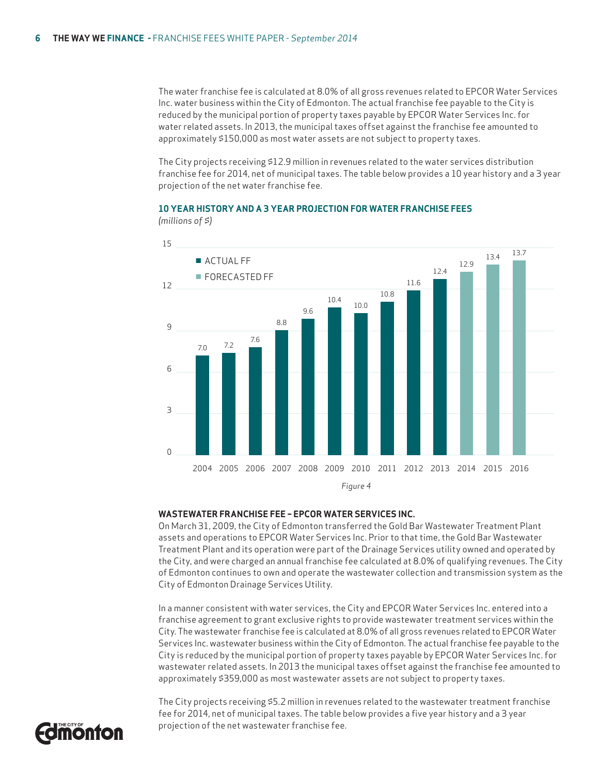The water franchise fee is calculated at 8.0% of all gross revenues related to EPCOR Water Services Inc. water business within the City of Edmonton. The actual franchise fee payable to the City is reduced by the municipal portion of property taxes payable by EPCOR Water Services Inc. for water related assets. In 2013, the municipal taxes offset against the franchise fee amounted to approximately \$150,000 as most water assets are not subject to property taxes.

The City projects receiving \$12.9 million in revenues related to the water services distribution franchise fee for 2014, net of municipal taxes. The table below provides a 10 year history and a 3 year projection of the net water franchise fee.

**10 YEAR HISTORY AND A 3 YEAR PROJECTION FOR WATER FRANCHISE FEES**



*(millions of \$)*

#### **WASTEWATER FRANCHISE FEE – EPCOR WATER SERVICES INC.**

On March 31, 2009, the City of Edmonton transferred the Gold Bar Wastewater Treatment Plant assets and operations to EPCOR Water Services Inc. Prior to that time, the Gold Bar Wastewater Treatment Plant and its operation were part of the Drainage Services utility owned and operated by the City, and were charged an annual franchise fee calculated at 8.0% of qualifying revenues. The City of Edmonton continues to own and operate the wastewater collection and transmission system as the City of Edmonton Drainage Services Utility.

In a manner consistent with water services, the City and EPCOR Water Services Inc. entered into a franchise agreement to grant exclusive rights to provide wastewater treatment services within the City. The wastewater franchise fee is calculated at 8.0% of all gross revenues related to EPCOR Water Services Inc. wastewater business within the City of Edmonton. The actual franchise fee payable to the City is reduced by the municipal portion of property taxes payable by EPCOR Water Services Inc. for wastewater related assets. In 2013 the municipal taxes offset against the franchise fee amounted to approximately \$359,000 as most wastewater assets are not subject to property taxes.

The City projects receiving \$5.2 million in revenues related to the wastewater treatment franchise fee for 2014, net of municipal taxes. The table below provides a five year history and a 3 year projection of the net wastewater franchise fee.

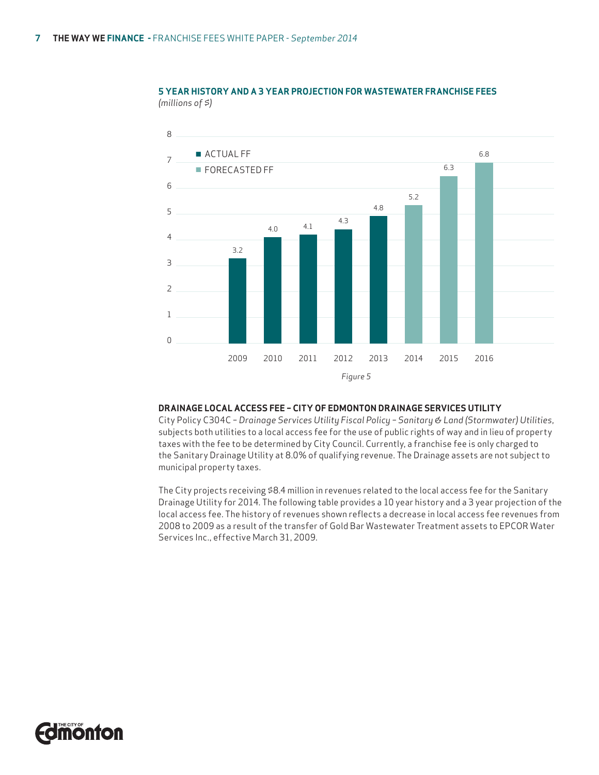

**5 YEAR HISTORY AND A 3 YEAR PROJECTION FOR WASTEWATER FRANCHISE FEES** *(millions of \$)*

#### **DRAINAGE LOCAL ACCESS FEE – CITY OF EDMONTON DRAINAGE SERVICES UTILITY**

City Policy C304C – *Drainage Services Utility Fiscal Policy – Sanitary & Land (Stormwater) Utilities*, subjects both utilities to a local access fee for the use of public rights of way and in lieu of property taxes with the fee to be determined by City Council. Currently, a franchise fee is only charged to the Sanitary Drainage Utility at 8.0% of qualifying revenue. The Drainage assets are not subject to municipal property taxes.

The City projects receiving \$8.4 million in revenues related to the local access fee for the Sanitary Drainage Utility for 2014. The following table provides a 10 year history and a 3 year projection of the local access fee. The history of revenues shown reflects a decrease in local access fee revenues from 2008 to 2009 as a result of the transfer of Gold Bar Wastewater Treatment assets to EPCOR Water Services Inc., effective March 31, 2009.

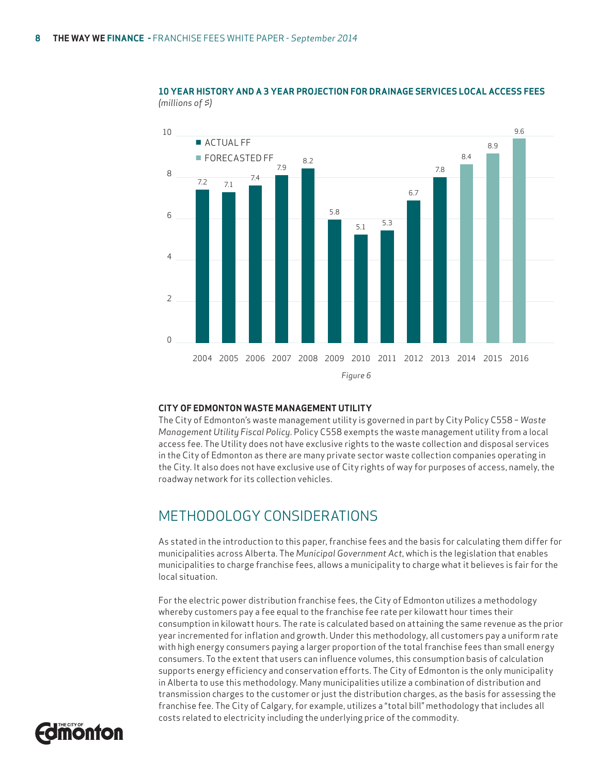

**10 YEAR HISTORY AND A 3 YEAR PROJECTION FOR DRAINAGE SERVICES LOCAL ACCESS FEES** *(millions of \$)*

#### **CITY OF EDMONTON WASTE MANAGEMENT UTILITY**

The City of Edmonton's waste management utility is governed in part by City Policy C558 – *Waste Management Utility Fiscal Policy*. Policy C558 exempts the waste management utility from a local access fee. The Utility does not have exclusive rights to the waste collection and disposal services in the City of Edmonton as there are many private sector waste collection companies operating in the City. It also does not have exclusive use of City rights of way for purposes of access, namely, the roadway network for its collection vehicles.

## METHODOLOGY CONSIDERATIONS

As stated in the introduction to this paper, franchise fees and the basis for calculating them differ for municipalities across Alberta. The *Municipal Government Act*, which is the legislation that enables municipalities to charge franchise fees, allows a municipality to charge what it believes is fair for the local situation.

For the electric power distribution franchise fees, the City of Edmonton utilizes a methodology whereby customers pay a fee equal to the franchise fee rate per kilowatt hour times their consumption in kilowatt hours. The rate is calculated based on attaining the same revenue as the prior year incremented for inflation and growth. Under this methodology, all customers pay a uniform rate with high energy consumers paying a larger proportion of the total franchise fees than small energy consumers. To the extent that users can influence volumes, this consumption basis of calculation supports energy efficiency and conservation efforts. The City of Edmonton is the only municipality in Alberta to use this methodology. Many municipalities utilize a combination of distribution and transmission charges to the customer or just the distribution charges, as the basis for assessing the franchise fee. The City of Calgary, for example, utilizes a "total bill" methodology that includes all costs related to electricity including the underlying price of the commodity.

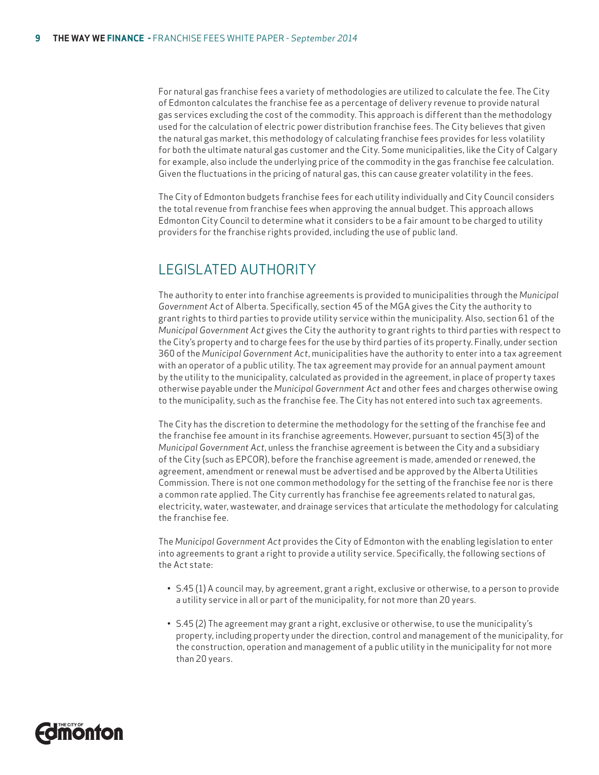For natural gas franchise fees a variety of methodologies are utilized to calculate the fee. The City of Edmonton calculates the franchise fee as a percentage of delivery revenue to provide natural gas services excluding the cost of the commodity. This approach is different than the methodology used for the calculation of electric power distribution franchise fees. The City believes that given the natural gas market, this methodology of calculating franchise fees provides for less volatility for both the ultimate natural gas customer and the City. Some municipalities, like the City of Calgary for example, also include the underlying price of the commodity in the gas franchise fee calculation. Given the fluctuations in the pricing of natural gas, this can cause greater volatility in the fees.

The City of Edmonton budgets franchise fees for each utility individually and City Council considers the total revenue from franchise fees when approving the annual budget. This approach allows Edmonton City Council to determine what it considers to be a fair amount to be charged to utility providers for the franchise rights provided, including the use of public land.

# LEGISLATED AUTHORITY

The authority to enter into franchise agreements is provided to municipalities through the *Municipal Government Act* of Alberta. Specifically, section 45 of the MGA gives the City the authority to grant rights to third parties to provide utility service within the municipality. Also, section 61 of the *Municipal Government Act* gives the City the authority to grant rights to third parties with respect to the City's property and to charge fees for the use by third parties of its property. Finally, under section 360 of the *Municipal Government Act*, municipalities have the authority to enter into a tax agreement with an operator of a public utility. The tax agreement may provide for an annual payment amount by the utility to the municipality, calculated as provided in the agreement, in place of property taxes otherwise payable under the *Municipal Government Act* and other fees and charges otherwise owing to the municipality, such as the franchise fee. The City has not entered into such tax agreements.

The City has the discretion to determine the methodology for the setting of the franchise fee and the franchise fee amount in its franchise agreements. However, pursuant to section 45(3) of the *Municipal Government Act*, unless the franchise agreement is between the City and a subsidiary of the City (such as EPCOR), before the franchise agreement is made, amended or renewed, the agreement, amendment or renewal must be advertised and be approved by the Alberta Utilities Commission. There is not one common methodology for the setting of the franchise fee nor is there a common rate applied. The City currently has franchise fee agreements related to natural gas, electricity, water, wastewater, and drainage services that articulate the methodology for calculating the franchise fee.

The *Municipal Government Act* provides the City of Edmonton with the enabling legislation to enter into agreements to grant a right to provide a utility service. Specifically, the following sections of the Act state:

- S.45 (1) A council may, by agreement, grant a right, exclusive or otherwise, to a person to provide a utility service in all or part of the municipality, for not more than 20 years.
- S.45 (2) The agreement may grant a right, exclusive or otherwise, to use the municipality's property, including property under the direction, control and management of the municipality, for the construction, operation and management of a public utility in the municipality for not more than 20 years.

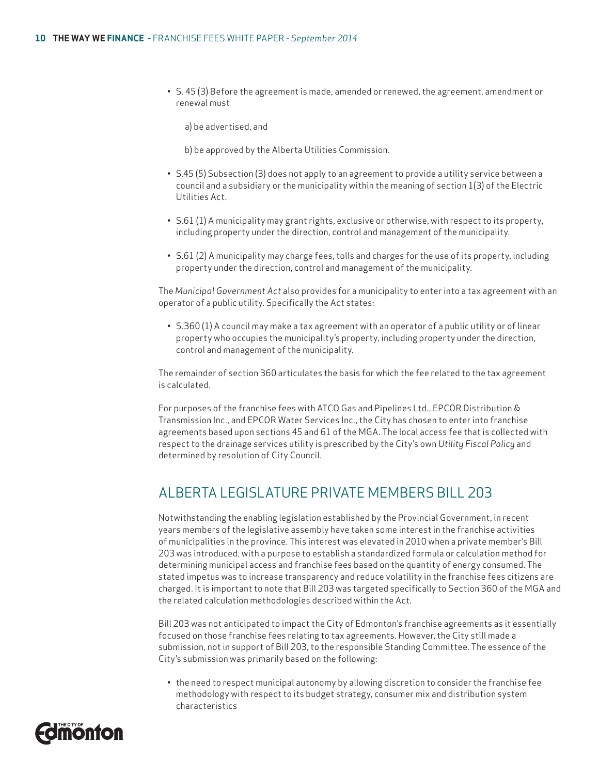• S. 45 (3) Before the agreement is made, amended or renewed, the agreement, amendment or renewal must

a) be advertised, and

b) be approved by the Alberta Utilities Commission.

- S.45 (5) Subsection (3) does not apply to an agreement to provide a utility service between a council and a subsidiary or the municipality within the meaning of section 1(3) of the Electric Utilities Act.
- S.61 (1) A municipality may grant rights, exclusive or otherwise, with respect to its property, including property under the direction, control and management of the municipality.
- S.61 (2) A municipality may charge fees, tolls and charges for the use of its property, including property under the direction, control and management of the municipality.

The *Municipal Government Act* also provides for a municipality to enter into a tax agreement with an operator of a public utility. Specifically the Act states:

• S.360 (1) A council may make a tax agreement with an operator of a public utility or of linear property who occupies the municipality's property, including property under the direction, control and management of the municipality.

The remainder of section 360 articulates the basis for which the fee related to the tax agreement is calculated.

For purposes of the franchise fees with ATCO Gas and Pipelines Ltd., EPCOR Distribution & Transmission Inc., and EPCOR Water Services Inc., the City has chosen to enter into franchise agreements based upon sections 45 and 61 of the MGA. The local access fee that is collected with respect to the drainage services utility is prescribed by the City's own *Utility Fiscal Policy* and determined by resolution of City Council.

# ALBERTA LEGISLATURE PRIVATE MEMBERS BILL 203

Notwithstanding the enabling legislation established by the Provincial Government, in recent years members of the legislative assembly have taken some interest in the franchise activities of municipalities in the province. This interest was elevated in 2010 when a private member's Bill 203 was introduced, with a purpose to establish a standardized formula or calculation method for determining municipal access and franchise fees based on the quantity of energy consumed. The stated impetus was to increase transparency and reduce volatility in the franchise fees citizens are charged. It is important to note that Bill 203 was targeted specifically to Section 360 of the MGA and the related calculation methodologies described within the Act.

Bill 203 was not anticipated to impact the City of Edmonton's franchise agreements as it essentially focused on those franchise fees relating to tax agreements. However, the City still made a submission, not in support of Bill 203, to the responsible Standing Committee. The essence of the City's submission was primarily based on the following:

• the need to respect municipal autonomy by allowing discretion to consider the franchise fee methodology with respect to its budget strategy, consumer mix and distribution system characteristics

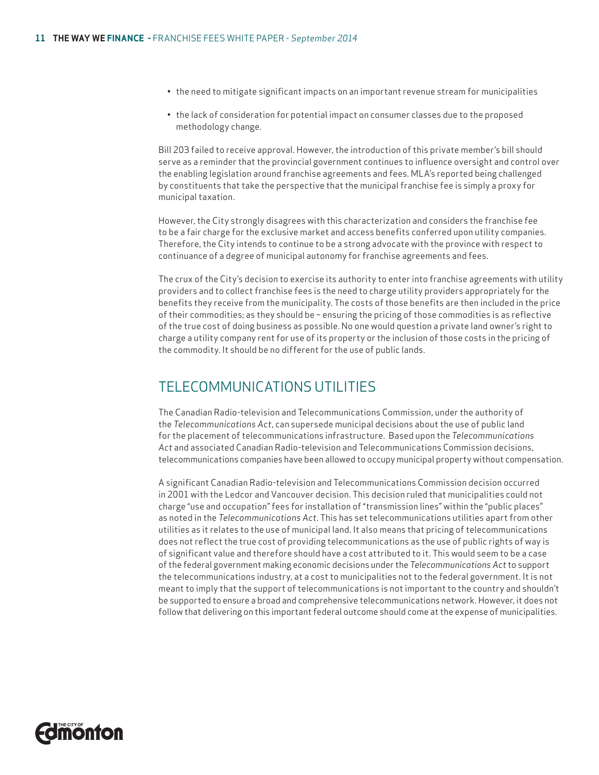- the need to mitigate significant impacts on an important revenue stream for municipalities
- the lack of consideration for potential impact on consumer classes due to the proposed methodology change.

Bill 203 failed to receive approval. However, the introduction of this private member's bill should serve as a reminder that the provincial government continues to influence oversight and control over the enabling legislation around franchise agreements and fees. MLA's reported being challenged by constituents that take the perspective that the municipal franchise fee is simply a proxy for municipal taxation.

However, the City strongly disagrees with this characterization and considers the franchise fee to be a fair charge for the exclusive market and access benefits conferred upon utility companies. Therefore, the City intends to continue to be a strong advocate with the province with respect to continuance of a degree of municipal autonomy for franchise agreements and fees.

The crux of the City's decision to exercise its authority to enter into franchise agreements with utility providers and to collect franchise fees is the need to charge utility providers appropriately for the benefits they receive from the municipality. The costs of those benefits are then included in the price of their commodities; as they should be – ensuring the pricing of those commodities is as reflective of the true cost of doing business as possible. No one would question a private land owner's right to charge a utility company rent for use of its property or the inclusion of those costs in the pricing of the commodity. It should be no different for the use of public lands.

## TELECOMMUNICATIONS UTILITIES

The Canadian Radio-television and Telecommunications Commission, under the authority of the *Telecommunications Act*, can supersede municipal decisions about the use of public land for the placement of telecommunications infrastructure. Based upon the *Telecommunications Act* and associated Canadian Radio-television and Telecommunications Commission decisions, telecommunications companies have been allowed to occupy municipal property without compensation.

A significant Canadian Radio-television and Telecommunications Commission decision occurred in 2001 with the Ledcor and Vancouver decision. This decision ruled that municipalities could not charge "use and occupation" fees for installation of "transmission lines" within the "public places" as noted in the *Telecommunications Act*. This has set telecommunications utilities apart from other utilities as it relates to the use of municipal land. It also means that pricing of telecommunications does not reflect the true cost of providing telecommunications as the use of public rights of way is of significant value and therefore should have a cost attributed to it. This would seem to be a case of the federal government making economic decisions under the *Telecommunications Act* to support the telecommunications industry, at a cost to municipalities not to the federal government. It is not meant to imply that the support of telecommunications is not important to the country and shouldn't be supported to ensure a broad and comprehensive telecommunications network. However, it does not follow that delivering on this important federal outcome should come at the expense of municipalities.

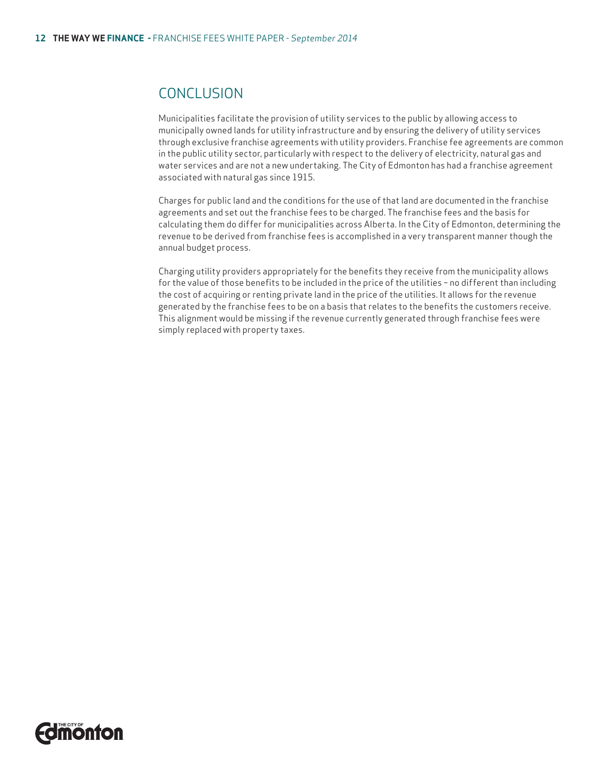# **CONCLUSION**

Municipalities facilitate the provision of utility services to the public by allowing access to municipally owned lands for utility infrastructure and by ensuring the delivery of utility services through exclusive franchise agreements with utility providers. Franchise fee agreements are common in the public utility sector, particularly with respect to the delivery of electricity, natural gas and water services and are not a new undertaking. The City of Edmonton has had a franchise agreement associated with natural gas since 1915.

Charges for public land and the conditions for the use of that land are documented in the franchise agreements and set out the franchise fees to be charged. The franchise fees and the basis for calculating them do differ for municipalities across Alberta. In the City of Edmonton, determining the revenue to be derived from franchise fees is accomplished in a very transparent manner though the annual budget process.

Charging utility providers appropriately for the benefits they receive from the municipality allows for the value of those benefits to be included in the price of the utilities – no different than including the cost of acquiring or renting private land in the price of the utilities. It allows for the revenue generated by the franchise fees to be on a basis that relates to the benefits the customers receive. This alignment would be missing if the revenue currently generated through franchise fees were simply replaced with property taxes.

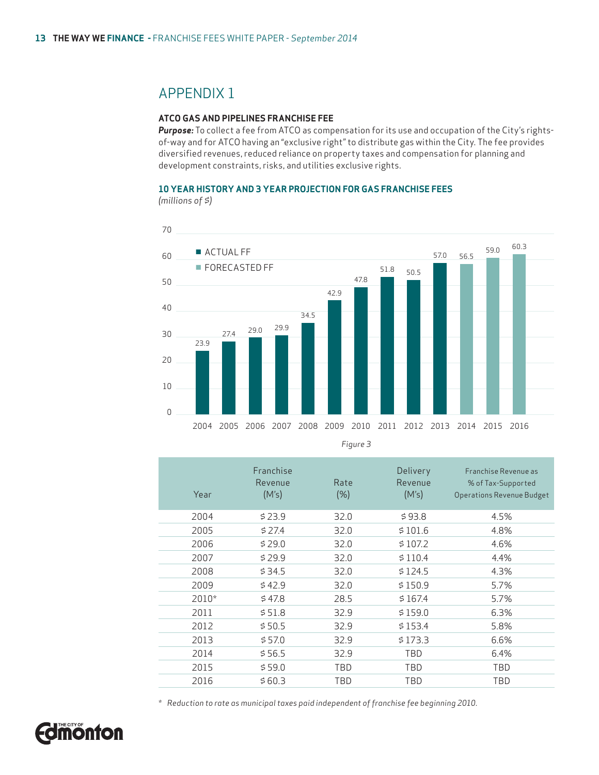#### **ATCO GAS AND PIPELINES FRANCHISE FEE**

*Purpose:* To collect a fee from ATCO as compensation for its use and occupation of the City's rightsof-way and for ATCO having an "exclusive right" to distribute gas within the City. The fee provides diversified revenues, reduced reliance on property taxes and compensation for planning and development constraints, risks, and utilities exclusive rights.

#### **10 YEAR HISTORY AND 3 YEAR PROJECTION FOR GAS FRANCHISE FEES**

*(millions of \$)*



*Figure 3*

| Year  | Franchise<br>Revenue<br>(M's) | Rate<br>(%) | Delivery<br>Revenue<br>(M's) | Franchise Revenue as<br>% of Tax-Supported<br>Operations Revenue Budget |
|-------|-------------------------------|-------------|------------------------------|-------------------------------------------------------------------------|
| 2004  | \$23.9                        | 32.0        | \$93.8                       | 4.5%                                                                    |
| 2005  | \$27.4                        | 32.0        | \$101.6                      | 4.8%                                                                    |
| 2006  | \$29.0                        | 32.0        | \$107.2                      | 4.6%                                                                    |
| 2007  | \$29.9                        | 32.0        | \$110.4                      | 4.4%                                                                    |
| 2008  | \$34.5                        | 32.0        | \$124.5                      | 4.3%                                                                    |
| 2009  | \$42.9                        | 32.0        | \$150.9                      | 5.7%                                                                    |
| 2010* | \$47.8                        | 28.5        | \$167.4                      | 5.7%                                                                    |
| 2011  | \$51.8                        | 32.9        | \$159.0                      | 6.3%                                                                    |
| 2012  | \$50.5                        | 32.9        | \$153.4                      | 5.8%                                                                    |
| 2013  | \$57.0                        | 32.9        | \$173.3                      | 6.6%                                                                    |
| 2014  | \$56.5                        | 32.9        | TBD                          | 6.4%                                                                    |
| 2015  | \$59.0                        | TBD         | TBD                          | TBD                                                                     |
| 2016  | \$60.3                        | TBD         | TBD                          | TBD                                                                     |

*\* Reduction to rate as municipal taxes paid independent of franchise fee beginning 2010.*

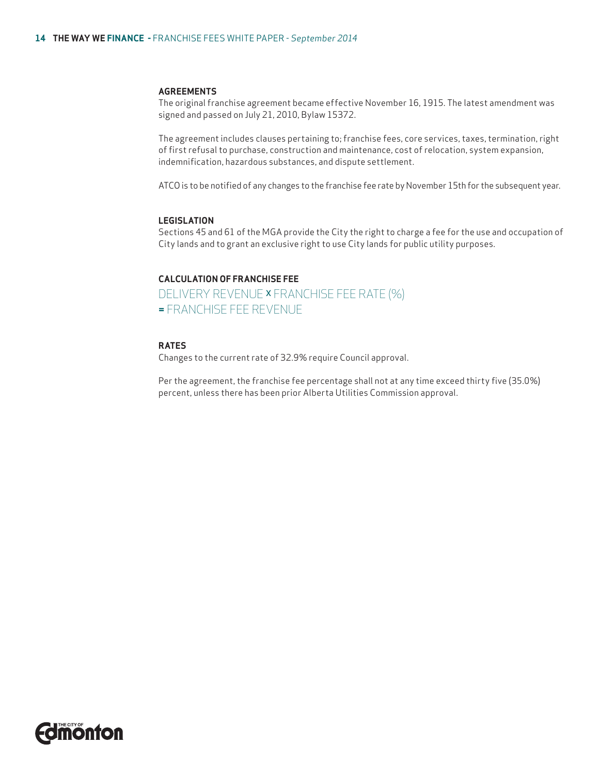The original franchise agreement became effective November 16, 1915. The latest amendment was signed and passed on July 21, 2010, Bylaw 15372.

The agreement includes clauses pertaining to; franchise fees, core services, taxes, termination, right of first refusal to purchase, construction and maintenance, cost of relocation, system expansion, indemnification, hazardous substances, and dispute settlement.

ATCO is to be notified of any changes to the franchise fee rate by November 15th for the subsequent year.

#### **LEGISLATION**

Sections 45 and 61 of the MGA provide the City the right to charge a fee for the use and occupation of City lands and to grant an exclusive right to use City lands for public utility purposes.

#### **CALCULATION OF FRANCHISE FEE**

DELIVERY REVENUE <sup>X</sup> FRANCHISE FEE RATE (%) = FRANCHISE FEE REVENUE

#### **RATES**

Changes to the current rate of 32.9% require Council approval.

Per the agreement, the franchise fee percentage shall not at any time exceed thirty five (35.0%) percent, unless there has been prior Alberta Utilities Commission approval.

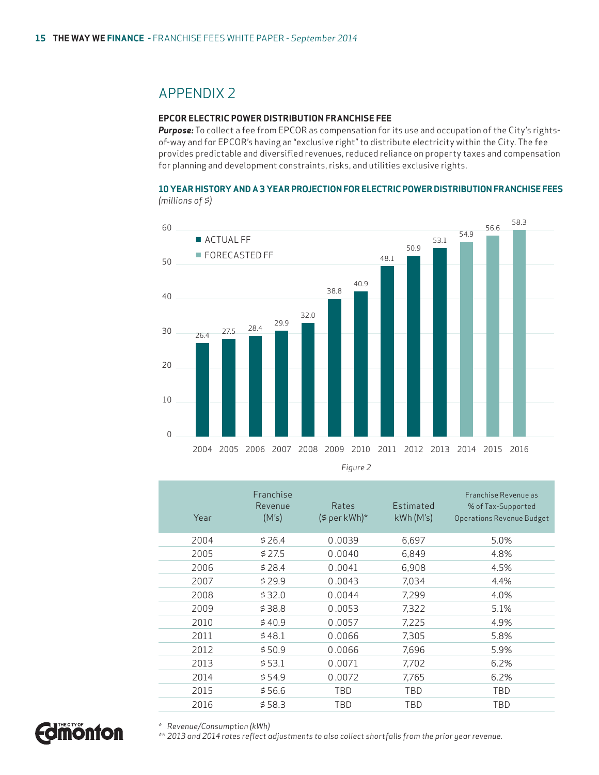#### **EPCOR ELECTRIC POWER DISTRIBUTION FRANCHISE FEE**

*Purpose:* To collect a fee from EPCOR as compensation for its use and occupation of the City's rightsof-way and for EPCOR's having an "exclusive right" to distribute electricity within the City. The fee provides predictable and diversified revenues, reduced reliance on property taxes and compensation for planning and development constraints, risks, and utilities exclusive rights.

#### **10 YEAR HISTORY AND A 3 YEAR PROJECTION FOR ELECTRIC POWER DISTRIBUTION FRANCHISE FEES** *(millions of \$)*



*Figure 2*

| Year | Franchise<br>Revenue<br>(M's) | Rates<br>$(5$ per kWh)* | Estimated<br>kWh(M's) | <b>Franchise Revenue as</b><br>% of Tax-Supported<br><b>Operations Revenue Budget</b> |
|------|-------------------------------|-------------------------|-----------------------|---------------------------------------------------------------------------------------|
| 2004 | \$26.4                        | 0.0039                  | 6,697                 | 5.0%                                                                                  |
| 2005 | \$27.5                        | 0.0040                  | 6,849                 | 4.8%                                                                                  |
| 2006 | \$28.4                        | 0.0041                  | 6,908                 | 4.5%                                                                                  |
| 2007 | \$29.9                        | 0.0043                  | 7,034                 | 4.4%                                                                                  |
| 2008 | \$32.0                        | 0.0044                  | 7,299                 | 4.0%                                                                                  |
| 2009 | \$38.8                        | 0.0053                  | 7,322                 | 5.1%                                                                                  |
| 2010 | \$40.9                        | 0.0057                  | 7,225                 | 4.9%                                                                                  |
| 2011 | \$48.1                        | 0.0066                  | 7,305                 | 5.8%                                                                                  |
| 2012 | \$50.9                        | 0.0066                  | 7,696                 | 5.9%                                                                                  |
| 2013 | \$53.1                        | 0.0071                  | 7,702                 | 6.2%                                                                                  |
| 2014 | \$54.9                        | 0.0072                  | 7,765                 | 6.2%                                                                                  |
| 2015 | \$56.6                        | TBD                     | TBD                   | TBD                                                                                   |
| 2016 | \$58.3                        | TBD                     | TBD                   | TBD                                                                                   |
|      |                               |                         |                       |                                                                                       |



*\* Revenue/Consumption (kWh)*

*\*\* 2013 and 2014 rates reflect adjustments to also collect shortfalls from the prior year revenue.*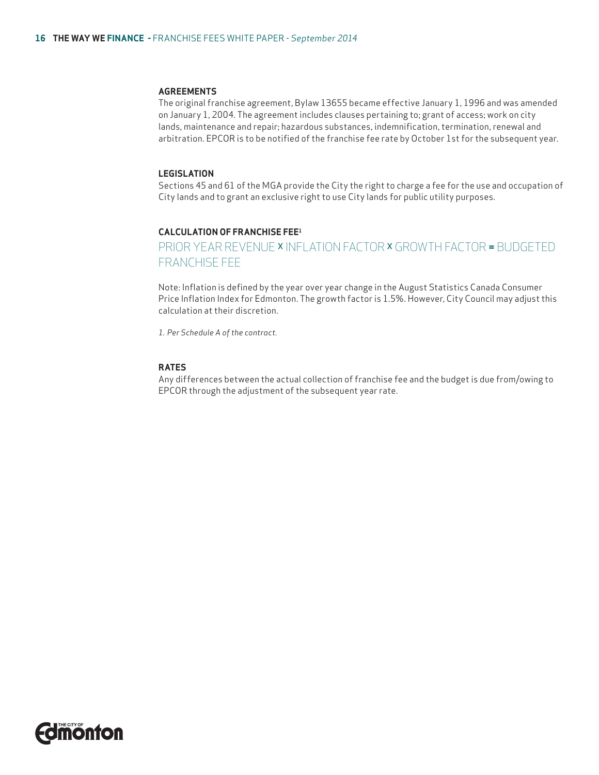The original franchise agreement, Bylaw 13655 became effective January 1, 1996 and was amended on January 1, 2004. The agreement includes clauses pertaining to; grant of access; work on city lands, maintenance and repair; hazardous substances, indemnification, termination, renewal and arbitration. EPCOR is to be notified of the franchise fee rate by October 1st for the subsequent year.

#### **LEGISLATION**

Sections 45 and 61 of the MGA provide the City the right to charge a fee for the use and occupation of City lands and to grant an exclusive right to use City lands for public utility purposes.

#### **CALCULATION OF FRANCHISE FEE1**

## PRIOR YEAR REVENUE <sup>X</sup> INFLATION FACTOR <sup>X</sup> GROWTH FACTOR = BUDGETED FRANCHISE FEE

Note: Inflation is defined by the year over year change in the August Statistics Canada Consumer Price Inflation Index for Edmonton. The growth factor is 1.5%. However, City Council may adjust this calculation at their discretion.

*1. Per Schedule A of the contract.*

#### **RATES**

Any differences between the actual collection of franchise fee and the budget is due from/owing to EPCOR through the adjustment of the subsequent year rate.

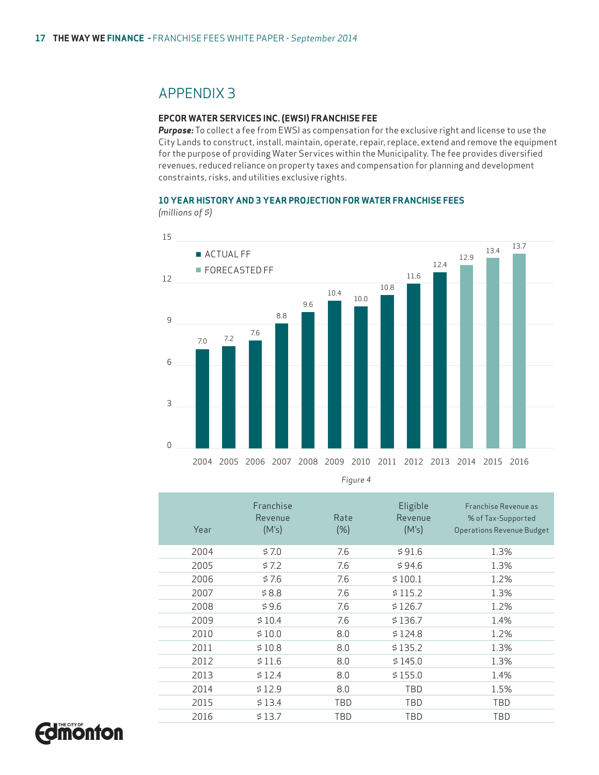#### **EPCOR WATER SERVICES INC. (EWSI) FRANCHISE FEE**

*Purpose:* To collect a fee from EWSI as compensation for the exclusive right and license to use the City Lands to construct, install, maintain, operate, repair, replace, extend and remove the equipment for the purpose of providing Water Services within the Municipality. The fee provides diversified revenues, reduced reliance on property taxes and compensation for planning and development constraints, risks, and utilities exclusive rights.

**10 YEAR HISTORY AND 3 YEAR PROJECTION FOR WATER FRANCHISE FEES**

*(millions of \$)*



*Figure 4*

| Year | Franchise<br>Revenue<br>(M's) | Rate<br>(%) | Eligible<br>Revenue<br>(M's) | Franchise Revenue as<br>% of Tax-Supported<br><b>Operations Revenue Budget</b> |
|------|-------------------------------|-------------|------------------------------|--------------------------------------------------------------------------------|
| 2004 | \$7.0                         | 7.6         | \$91.6                       | 1.3%                                                                           |
| 2005 | 57.2                          | 7.6         | \$94.6                       | 1.3%                                                                           |
| 2006 | \$7.6                         | 7.6         | \$100.1                      | 1.2%                                                                           |
| 2007 | \$8.8                         | 7.6         | \$115.2                      | 1.3%                                                                           |
| 2008 | \$9.6                         | 7.6         | \$126.7                      | 1.2%                                                                           |
| 2009 | \$10.4                        | 7.6         | \$136.7                      | 1.4%                                                                           |
| 2010 | \$10.0                        | 8.0         | \$124.8                      | 1.2%                                                                           |
| 2011 | \$10.8                        | 8.0         | \$135.2                      | 1.3%                                                                           |
| 2012 | \$11.6                        | 8.0         | \$145.0                      | 1.3%                                                                           |
| 2013 | \$12.4                        | 8.0         | \$155.0                      | 1.4%                                                                           |
| 2014 | \$12.9                        | 8.0         | TBD                          | 1.5%                                                                           |
| 2015 | \$13.4                        | TBD         | TBD                          | TBD                                                                            |
| 2016 | \$13.7                        | TBD         | TBD                          | TBD                                                                            |
|      |                               |             |                              |                                                                                |

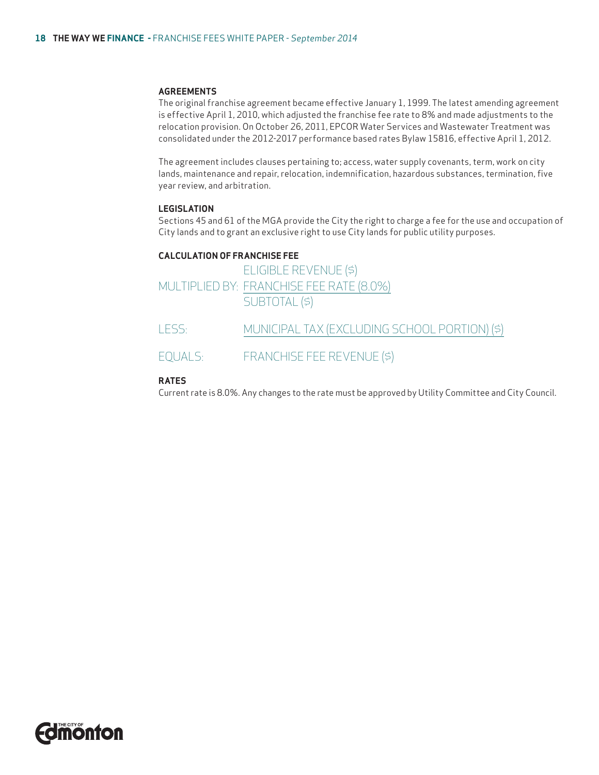The original franchise agreement became effective January 1, 1999. The latest amending agreement is effective April 1, 2010, which adjusted the franchise fee rate to 8% and made adjustments to the relocation provision. On October 26, 2011, EPCOR Water Services and Wastewater Treatment was consolidated under the 2012-2017 performance based rates Bylaw 15816, effective April 1, 2012.

The agreement includes clauses pertaining to; access, water supply covenants, term, work on city lands, maintenance and repair, relocation, indemnification, hazardous substances, termination, five year review, and arbitration.

#### **LEGISLATION**

Sections 45 and 61 of the MGA provide the City the right to charge a fee for the use and occupation of City lands and to grant an exclusive right to use City lands for public utility purposes.

#### **CALCULATION OF FRANCHISE FEE**

 ELIGIBLE REVENUE (\$) MULTIPLIED BY: FRANCHISE FEE RATE (8.0%) SUBTOTAL (\$)

LESS: MUNICIPAL TAX (EXCLUDING SCHOOL PORTION) (\$)

### EQUALS: FRANCHISE FEE REVENUE (\$)

#### **RATES**

Current rate is 8.0%. Any changes to the rate must be approved by Utility Committee and City Council.

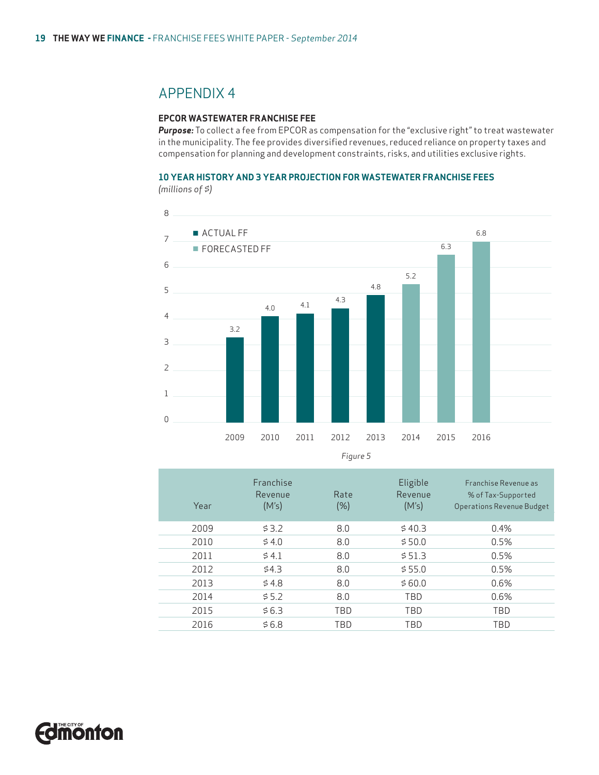#### **EPCOR WASTEWATER FRANCHISE FEE**

*Purpose:* To collect a fee from EPCOR as compensation for the "exclusive right" to treat wastewater in the municipality. The fee provides diversified revenues, reduced reliance on property taxes and compensation for planning and development constraints, risks, and utilities exclusive rights.

## **10 YEAR HISTORY AND 3 YEAR PROJECTION FOR WASTEWATER FRANCHISE FEES**

*(millions of \$)*



| Year | Franchise<br>Revenue<br>(M's) | Rate<br>(%) | Eligible<br>Revenue<br>(M's) | Franchise Revenue as<br>% of Tax-Supported<br><b>Operations Revenue Budget</b> |
|------|-------------------------------|-------------|------------------------------|--------------------------------------------------------------------------------|
| 2009 | \$3.2                         | 8.0         | \$40.3                       | 0.4%                                                                           |
| 2010 | 54.0                          | 8.0         | \$50.0                       | 0.5%                                                                           |
| 2011 | 54.1                          | 8.0         | \$51.3                       | 0.5%                                                                           |
| 2012 | \$4.3                         | 8.0         | \$55.0                       | 0.5%                                                                           |
| 2013 | \$4.8                         | 8.0         | \$60.0                       | 0.6%                                                                           |
| 2014 | 5.5.2                         | 8.0         | <b>TBD</b>                   | 0.6%                                                                           |
| 2015 | \$6.3                         | TBD         | TBD                          | <b>TBD</b>                                                                     |
| 2016 | \$6.8                         | TBD         | TBD                          | <b>TBD</b>                                                                     |

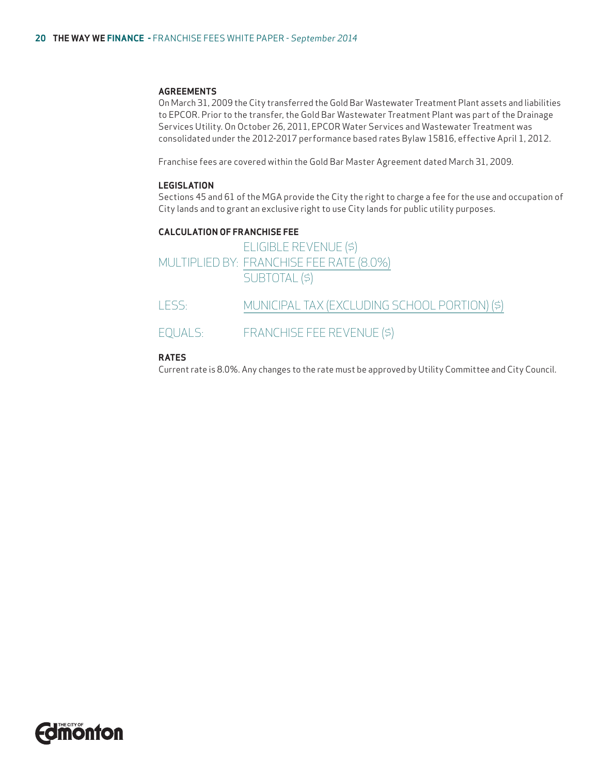On March 31, 2009 the City transferred the Gold Bar Wastewater Treatment Plant assets and liabilities to EPCOR. Prior to the transfer, the Gold Bar Wastewater Treatment Plant was part of the Drainage Services Utility. On October 26, 2011, EPCOR Water Services and Wastewater Treatment was consolidated under the 2012-2017 performance based rates Bylaw 15816, effective April 1, 2012.

Franchise fees are covered within the Gold Bar Master Agreement dated March 31, 2009.

#### **LEGISLATION**

Sections 45 and 61 of the MGA provide the City the right to charge a fee for the use and occupation of City lands and to grant an exclusive right to use City lands for public utility purposes.

#### **CALCULATION OF FRANCHISE FEE**

| ELIGIBLE REVENUE (\$)                    |
|------------------------------------------|
| MULTIPLIED BY: FRANCHISE FEE RATE (8.0%) |
| SUBTOTAL (\$)                            |

LESS: MUNICIPAL TAX (EXCLUDING SCHOOL PORTION) (\$)

EQUALS: FRANCHISE FEE REVENUE (\$)

#### **RATES**

Current rate is 8.0%. Any changes to the rate must be approved by Utility Committee and City Council.

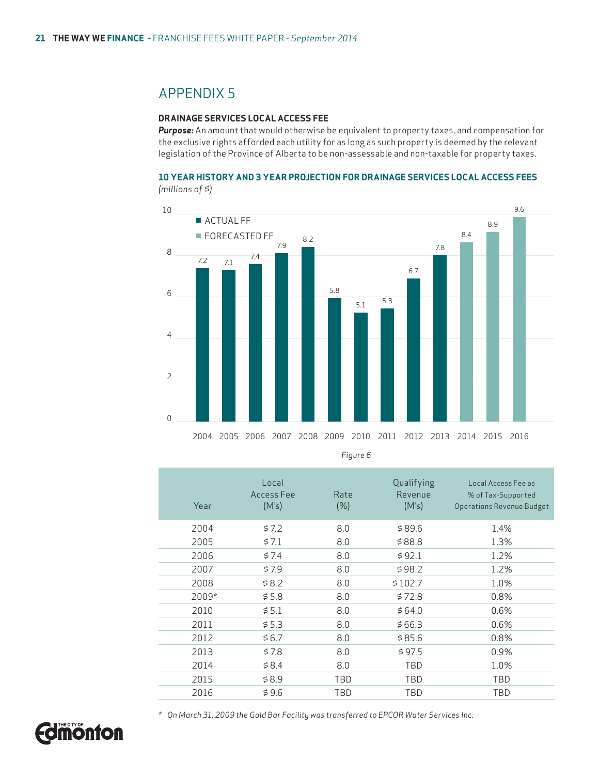#### **DRAINAGE SERVICES LOCAL ACCESS FEE**

*Purpose:* An amount that would otherwise be equivalent to property taxes, and compensation for the exclusive rights afforded each utility for as long as such property is deemed by the relevant legislation of the Province of Alberta to be non-assessable and non-taxable for property taxes.

#### **10 YEAR HISTORY AND 3 YEAR PROJECTION FOR DRAINAGE SERVICES LOCAL ACCESS FEES** *(millions of \$)*



*Figure 6*

| Year  | Local<br>Access Fee<br>(M's) | Rate<br>(% ) | Qualifying<br>Revenue<br>(M's) | Local Access Fee as<br>% of Tax-Supported<br><b>Operations Revenue Budget</b> |
|-------|------------------------------|--------------|--------------------------------|-------------------------------------------------------------------------------|
| 2004  | \$7.2                        | 8.0          | \$89.6                         | 1.4%                                                                          |
| 2005  | 57.1                         | 8.0          | \$88.8                         | 1.3%                                                                          |
| 2006  | 57.4                         | 8.0          | \$92.1                         | 1.2%                                                                          |
| 2007  | \$7.9                        | 8.0          | \$98.2                         | 1.2%                                                                          |
| 2008  | \$8.2                        | 8.0          | \$102.7                        | 1.0%                                                                          |
| 2009* | \$5.8                        | 8.0          | \$72.8                         | 0.8%                                                                          |
| 2010  | \$5.1                        | 8.0          | \$64.0                         | 0.6%                                                                          |
| 2011  | \$5.3                        | 8.0          | \$66.3                         | 0.6%                                                                          |
| 2012  | \$6.7                        | 8.0          | \$85.6                         | 0.8%                                                                          |
| 2013  | \$7.8                        | 8.0          | \$97.5                         | 0.9%                                                                          |
| 2014  | \$8.4                        | 8.0          | TBD                            | 1.0%                                                                          |
| 2015  | \$8.9                        | TBD          | <b>TBD</b>                     | TBD                                                                           |
| 2016  | \$9.6                        | TBD          | TBD                            | TBD                                                                           |



*\* On March 31, 2009 the Gold Bar Facility was transferred to EPCOR Water Services Inc.*